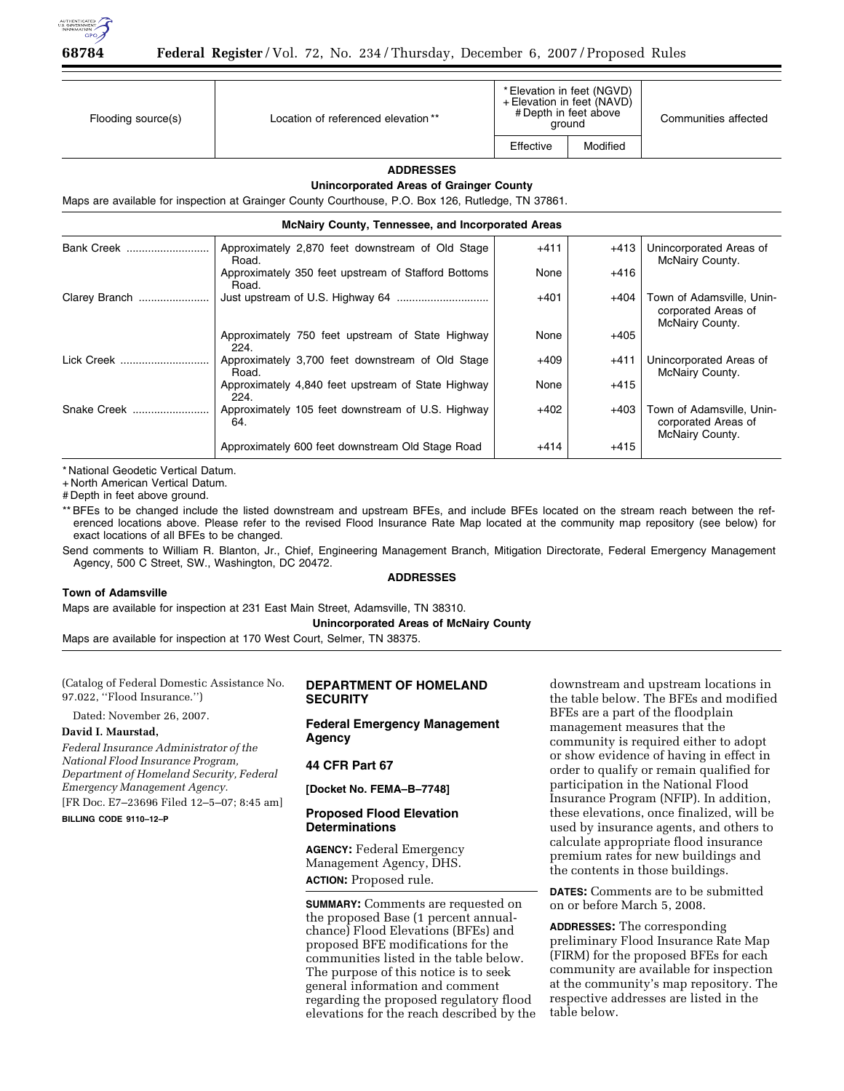

| Flooding source(s) | Location of referenced elevation**                                                                 | * Elevation in feet (NGVD)<br>+ Elevation in feet (NAVD)<br># Depth in feet above<br>ground |          | Communities affected                                                |
|--------------------|----------------------------------------------------------------------------------------------------|---------------------------------------------------------------------------------------------|----------|---------------------------------------------------------------------|
|                    |                                                                                                    | Effective                                                                                   | Modified |                                                                     |
|                    | <b>ADDRESSES</b>                                                                                   |                                                                                             |          |                                                                     |
|                    | Unincorporated Areas of Grainger County                                                            |                                                                                             |          |                                                                     |
|                    | Maps are available for inspection at Grainger County Courthouse, P.O. Box 126, Rutledge, TN 37861. |                                                                                             |          |                                                                     |
|                    | <b>McNairy County, Tennessee, and Incorporated Areas</b>                                           |                                                                                             |          |                                                                     |
| Bank Creek         | Approximately 2,870 feet downstream of Old Stage<br>Road.                                          | $+411$                                                                                      | $+413$   | Unincorporated Areas of<br>McNairy County.                          |
|                    | Approximately 350 feet upstream of Stafford Bottoms<br>Road.                                       | None                                                                                        | $+416$   |                                                                     |
| Clarey Branch      |                                                                                                    | $+401$                                                                                      | +404     | Town of Adamsville, Unin-<br>corporated Areas of<br>McNairy County. |
|                    | Approximately 750 feet upstream of State Highway<br>224.                                           | None                                                                                        | $+405$   |                                                                     |
| Lick Creek         | Approximately 3,700 feet downstream of Old Stage<br>Road.                                          | $+409$                                                                                      | $+411$   | Unincorporated Areas of<br>McNairy County.                          |
|                    | Approximately 4,840 feet upstream of State Highway<br>224.                                         | None                                                                                        | $+415$   |                                                                     |
| Snake Creek        | Approximately 105 feet downstream of U.S. Highway<br>64.                                           | $+402$                                                                                      | $+403$   | Town of Adamsville, Unin-<br>corporated Areas of<br>McNairy County. |

+ North American Vertical Datum.

# Depth in feet above ground.

\*\* BFEs to be changed include the listed downstream and upstream BFEs, and include BFEs located on the stream reach between the referenced locations above. Please refer to the revised Flood Insurance Rate Map located at the community map repository (see below) for exact locations of all BFEs to be changed.

Approximately 600 feet downstream Old Stage Road  $+414$  +415

Send comments to William R. Blanton, Jr., Chief, Engineering Management Branch, Mitigation Directorate, Federal Emergency Management Agency, 500 C Street, SW., Washington, DC 20472.

### **ADDRESSES**

## **Town of Adamsville**

Maps are available for inspection at 231 East Main Street, Adamsville, TN 38310.

**Unincorporated Areas of McNairy County** 

Maps are available for inspection at 170 West Court, Selmer, TN 38375.

(Catalog of Federal Domestic Assistance No. 97.022, ''Flood Insurance.'')

Dated: November 26, 2007.

## **David I. Maurstad,**

*Federal Insurance Administrator of the National Flood Insurance Program, Department of Homeland Security, Federal Emergency Management Agency.*  [FR Doc. E7–23696 Filed 12–5–07; 8:45 am]

**BILLING CODE 9110–12–P** 

# **DEPARTMENT OF HOMELAND SECURITY**

# **Federal Emergency Management Agency**

# **44 CFR Part 67**

**[Docket No. FEMA–B–7748]** 

## **Proposed Flood Elevation Determinations**

**AGENCY:** Federal Emergency Management Agency, DHS. **ACTION:** Proposed rule.

**SUMMARY:** Comments are requested on the proposed Base (1 percent annualchance) Flood Elevations (BFEs) and proposed BFE modifications for the communities listed in the table below. The purpose of this notice is to seek general information and comment regarding the proposed regulatory flood elevations for the reach described by the downstream and upstream locations in the table below. The BFEs and modified BFEs are a part of the floodplain management measures that the community is required either to adopt or show evidence of having in effect in order to qualify or remain qualified for participation in the National Flood Insurance Program (NFIP). In addition, these elevations, once finalized, will be used by insurance agents, and others to calculate appropriate flood insurance premium rates for new buildings and the contents in those buildings.

**DATES:** Comments are to be submitted on or before March 5, 2008.

**ADDRESSES:** The corresponding preliminary Flood Insurance Rate Map (FIRM) for the proposed BFEs for each community are available for inspection at the community's map repository. The respective addresses are listed in the table below.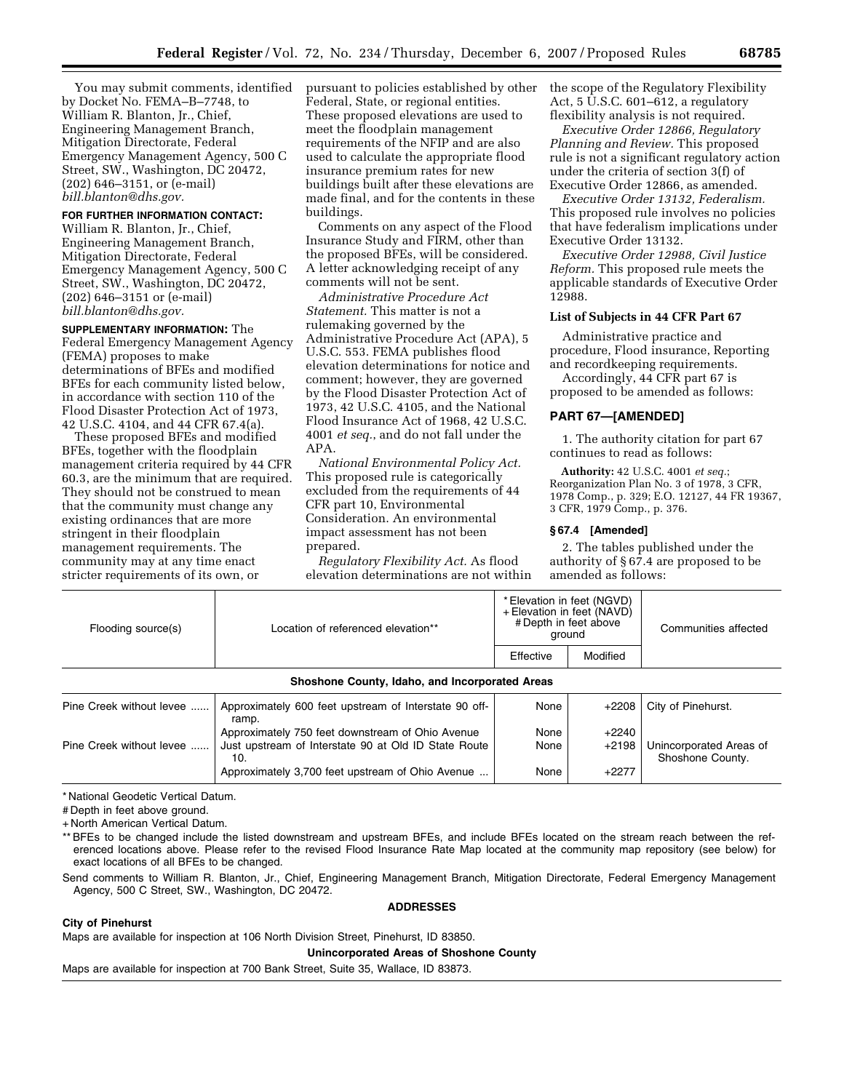You may submit comments, identified by Docket No. FEMA–B–7748, to William R. Blanton, Jr., Chief, Engineering Management Branch, Mitigation Directorate, Federal Emergency Management Agency, 500 C Street, SW., Washington, DC 20472, (202) 646–3151, or (e-mail) *bill.blanton@dhs.gov.* 

# **FOR FURTHER INFORMATION CONTACT:**

William R. Blanton, Jr., Chief, Engineering Management Branch, Mitigation Directorate, Federal Emergency Management Agency, 500 C Street, SW., Washington, DC 20472, (202) 646–3151 or (e-mail) *bill.blanton@dhs.gov.* 

**SUPPLEMENTARY INFORMATION:** The Federal Emergency Management Agency (FEMA) proposes to make determinations of BFEs and modified BFEs for each community listed below, in accordance with section 110 of the Flood Disaster Protection Act of 1973, 42 U.S.C. 4104, and 44 CFR 67.4(a).

These proposed BFEs and modified BFEs, together with the floodplain management criteria required by 44 CFR 60.3, are the minimum that are required. They should not be construed to mean that the community must change any existing ordinances that are more stringent in their floodplain management requirements. The community may at any time enact stricter requirements of its own, or

pursuant to policies established by other Federal, State, or regional entities. These proposed elevations are used to meet the floodplain management requirements of the NFIP and are also used to calculate the appropriate flood insurance premium rates for new buildings built after these elevations are made final, and for the contents in these buildings.

Comments on any aspect of the Flood Insurance Study and FIRM, other than the proposed BFEs, will be considered. A letter acknowledging receipt of any comments will not be sent.

*Administrative Procedure Act Statement.* This matter is not a rulemaking governed by the Administrative Procedure Act (APA), 5 U.S.C. 553. FEMA publishes flood elevation determinations for notice and comment; however, they are governed by the Flood Disaster Protection Act of 1973, 42 U.S.C. 4105, and the National Flood Insurance Act of 1968, 42 U.S.C. 4001 *et seq.*, and do not fall under the APA.

*National Environmental Policy Act.*  This proposed rule is categorically excluded from the requirements of 44 CFR part 10, Environmental Consideration. An environmental impact assessment has not been prepared.

*Regulatory Flexibility Act.* As flood elevation determinations are not within the scope of the Regulatory Flexibility Act, 5 U.S.C. 601–612, a regulatory flexibility analysis is not required.

*Executive Order 12866, Regulatory Planning and Review.* This proposed rule is not a significant regulatory action under the criteria of section 3(f) of Executive Order 12866, as amended.

*Executive Order 13132, Federalism.*  This proposed rule involves no policies that have federalism implications under Executive Order 13132.

*Executive Order 12988, Civil Justice Reform.* This proposed rule meets the applicable standards of Executive Order 12988.

## **List of Subjects in 44 CFR Part 67**

Administrative practice and procedure, Flood insurance, Reporting and recordkeeping requirements.

Accordingly, 44 CFR part 67 is proposed to be amended as follows:

## **PART 67—[AMENDED]**

1. The authority citation for part 67 continues to read as follows:

**Authority:** 42 U.S.C. 4001 *et seq.*; Reorganization Plan No. 3 of 1978, 3 CFR, 1978 Comp., p. 329; E.O. 12127, 44 FR 19367, 3 CFR, 1979 Comp., p. 376.

## **§ 67.4 [Amended]**

2. The tables published under the authority of § 67.4 are proposed to be amended as follows:

| Flooding source(s)       | Location of referenced elevation**                             | * Elevation in feet (NGVD)<br>+ Elevation in feet (NAVD)<br># Depth in feet above<br>ground |          | Communities affected                        |
|--------------------------|----------------------------------------------------------------|---------------------------------------------------------------------------------------------|----------|---------------------------------------------|
|                          |                                                                | Effective                                                                                   | Modified |                                             |
|                          | Shoshone County, Idaho, and Incorporated Areas                 |                                                                                             |          |                                             |
| Pine Creek without levee | Approximately 600 feet upstream of Interstate 90 off-<br>ramp. | None                                                                                        | $+2208$  | City of Pinehurst.                          |
|                          | Approximately 750 feet downstream of Ohio Avenue               | None                                                                                        | $+2240$  |                                             |
| Pine Creek without levee | Just upstream of Interstate 90 at Old ID State Route<br>10.    | None                                                                                        | $+2198$  | Unincorporated Areas of<br>Shoshone County. |
|                          | Approximately 3,700 feet upstream of Ohio Avenue               | None                                                                                        | $+2277$  |                                             |

\* National Geodetic Vertical Datum.

# Depth in feet above ground.

+ North American Vertical Datum.

\*\* BFEs to be changed include the listed downstream and upstream BFEs, and include BFEs located on the stream reach between the referenced locations above. Please refer to the revised Flood Insurance Rate Map located at the community map repository (see below) for exact locations of all BFEs to be changed.

Send comments to William R. Blanton, Jr., Chief, Engineering Management Branch, Mitigation Directorate, Federal Emergency Management Agency, 500 C Street, SW., Washington, DC 20472.

#### **City of Pinehurst**

### **ADDRESSES**

Maps are available for inspection at 106 North Division Street, Pinehurst, ID 83850.

**Unincorporated Areas of Shoshone County** 

Maps are available for inspection at 700 Bank Street, Suite 35, Wallace, ID 83873.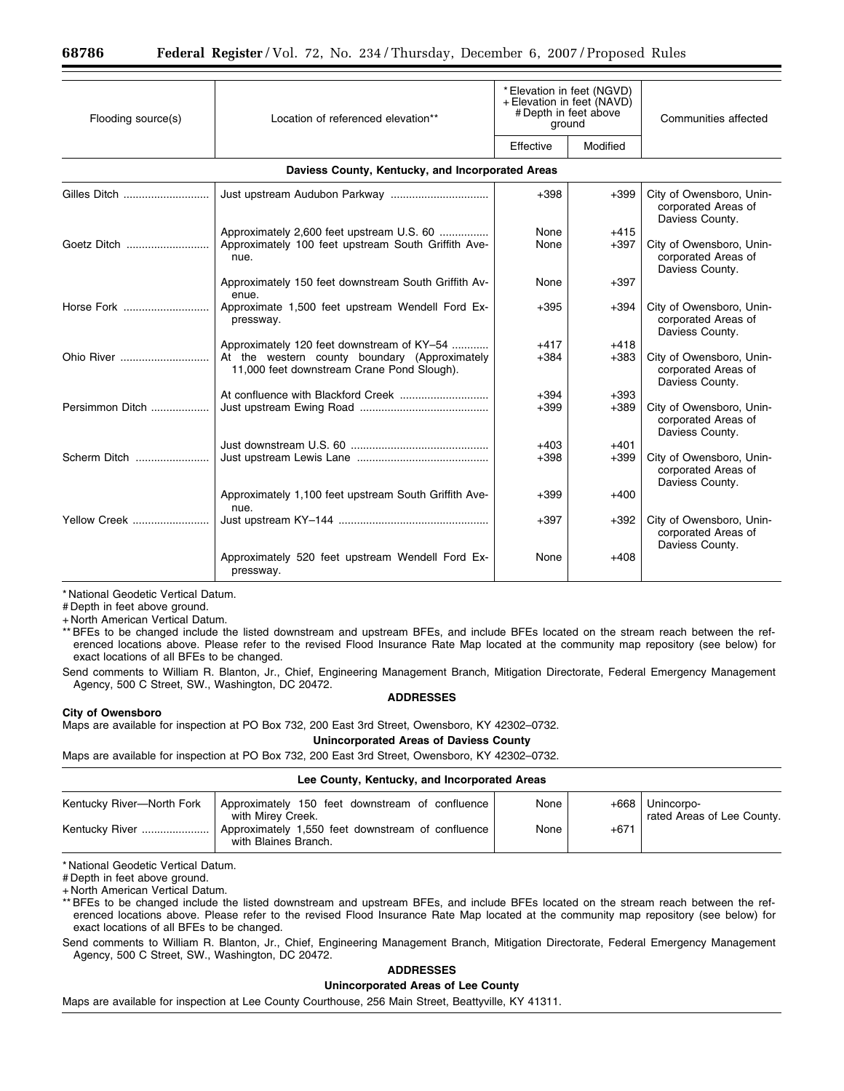| Flooding source(s) | Location of referenced elevation**                                                                                                        | * Elevation in feet (NGVD)<br>+ Elevation in feet (NAVD)<br># Depth in feet above<br>ground |                  | Communities affected                                               |  |
|--------------------|-------------------------------------------------------------------------------------------------------------------------------------------|---------------------------------------------------------------------------------------------|------------------|--------------------------------------------------------------------|--|
|                    |                                                                                                                                           | Effective                                                                                   | Modified         |                                                                    |  |
|                    | Daviess County, Kentucky, and Incorporated Areas                                                                                          |                                                                                             |                  |                                                                    |  |
| Gilles Ditch       |                                                                                                                                           | $+398$                                                                                      | $+399$           | City of Owensboro, Unin-<br>corporated Areas of<br>Daviess County. |  |
|                    | Approximately 2,600 feet upstream U.S. 60<br>Approximately 100 feet upstream South Griffith Ave-<br>nue.                                  | None<br>None                                                                                | $+415$<br>$+397$ | City of Owensboro, Unin-<br>corporated Areas of<br>Daviess County. |  |
|                    | Approximately 150 feet downstream South Griffith Av-<br>enue.                                                                             | None                                                                                        | $+397$           |                                                                    |  |
| Horse Fork         | Approximate 1,500 feet upstream Wendell Ford Ex-<br>pressway.                                                                             | $+395$                                                                                      | $+394$           | City of Owensboro, Unin-<br>corporated Areas of<br>Daviess County. |  |
| Ohio River         | Approximately 120 feet downstream of KY-54<br>At the western county boundary (Approximately<br>11,000 feet downstream Crane Pond Slough). | $+417$<br>$+384$                                                                            | $+418$<br>$+383$ | City of Owensboro, Unin-<br>corporated Areas of<br>Daviess County. |  |
| Persimmon Ditch    |                                                                                                                                           | $+394$<br>$+399$                                                                            | $+393$<br>$+389$ | City of Owensboro, Unin-<br>corporated Areas of<br>Daviess County. |  |
| Scherm Ditch       |                                                                                                                                           | $+403$<br>$+398$                                                                            | $+401$<br>$+399$ | City of Owensboro, Unin-<br>corporated Areas of<br>Daviess County. |  |
|                    | Approximately 1,100 feet upstream South Griffith Ave-<br>nue.                                                                             | $+399$                                                                                      | $+400$           |                                                                    |  |
| Yellow Creek       |                                                                                                                                           | $+397$                                                                                      | $+392$           | City of Owensboro, Unin-<br>corporated Areas of<br>Daviess County. |  |
|                    | Approximately 520 feet upstream Wendell Ford Ex-<br>pressway.                                                                             | None                                                                                        | $+408$           |                                                                    |  |

# Depth in feet above ground.

+ North American Vertical Datum.

\*\* BFEs to be changed include the listed downstream and upstream BFEs, and include BFEs located on the stream reach between the referenced locations above. Please refer to the revised Flood Insurance Rate Map located at the community map repository (see below) for exact locations of all BFEs to be changed.

Send comments to William R. Blanton, Jr., Chief, Engineering Management Branch, Mitigation Directorate, Federal Emergency Management Agency, 500 C Street, SW., Washington, DC 20472.

**ADDRESSES** 

### **City of Owensboro**

Maps are available for inspection at PO Box 732, 200 East 3rd Street, Owensboro, KY 42302–0732.

**Unincorporated Areas of Daviess County** 

Maps are available for inspection at PO Box 732, 200 East 3rd Street, Owensboro, KY 42302–0732.

# **Lee County, Kentucky, and Incorporated Areas**

| Kentucky River-North Fork | Approximately 150 feet downstream of confluence                                                | None | $+668$ | Unincorpo-                 |
|---------------------------|------------------------------------------------------------------------------------------------|------|--------|----------------------------|
| Kentucky River            | with Mirey Creek.<br>Approximately 1,550 feet downstream of confluence<br>with Blaines Branch. | None | $+671$ | rated Areas of Lee County. |

\* National Geodetic Vertical Datum.

# Depth in feet above ground.

+ North American Vertical Datum.

\*\* BFEs to be changed include the listed downstream and upstream BFEs, and include BFEs located on the stream reach between the referenced locations above. Please refer to the revised Flood Insurance Rate Map located at the community map repository (see below) for exact locations of all BFEs to be changed.

Send comments to William R. Blanton, Jr., Chief, Engineering Management Branch, Mitigation Directorate, Federal Emergency Management Agency, 500 C Street, SW., Washington, DC 20472.

# **ADDRESSES**

# **Unincorporated Areas of Lee County**

Maps are available for inspection at Lee County Courthouse, 256 Main Street, Beattyville, KY 41311.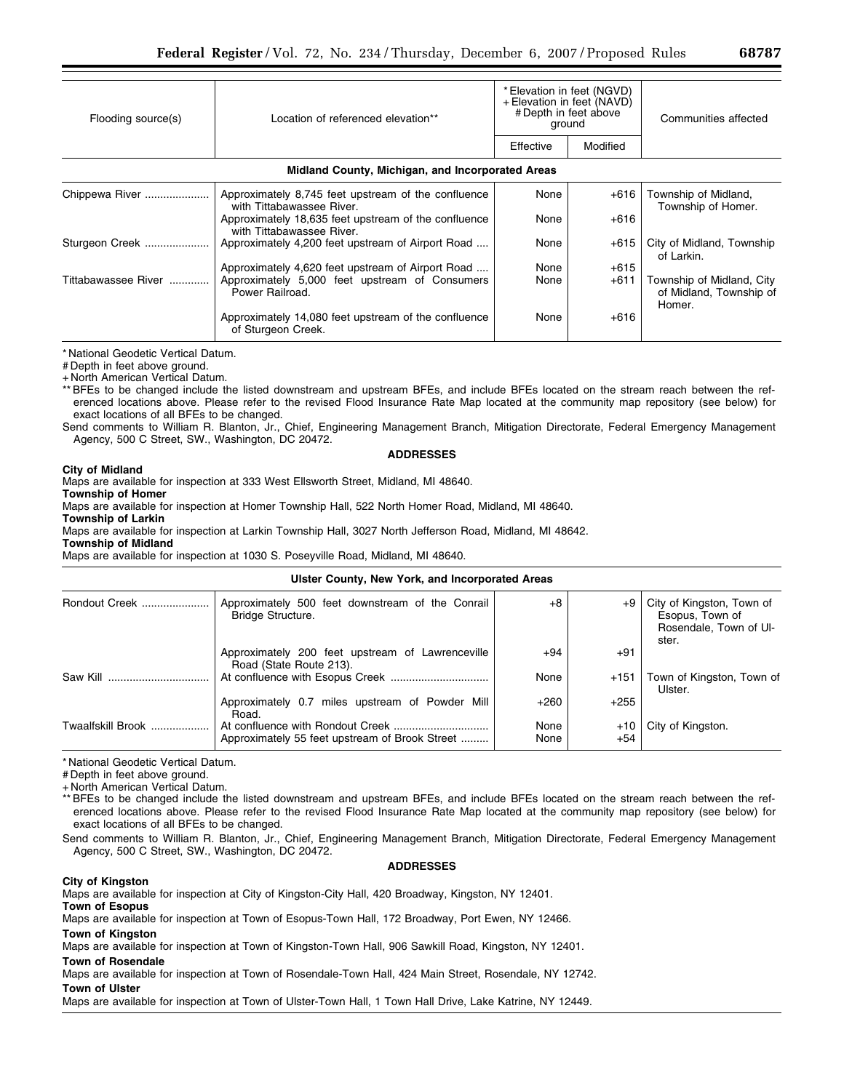| Flooding source(s)                               | Location of referenced elevation**                                                | * Elevation in feet (NGVD)<br>+ Elevation in feet (NAVD)<br># Depth in feet above<br>ground |          | Communities affected                                           |  |  |
|--------------------------------------------------|-----------------------------------------------------------------------------------|---------------------------------------------------------------------------------------------|----------|----------------------------------------------------------------|--|--|
|                                                  |                                                                                   | Effective                                                                                   | Modified |                                                                |  |  |
| Midland County, Michigan, and Incorporated Areas |                                                                                   |                                                                                             |          |                                                                |  |  |
| Chippewa River                                   | Approximately 8,745 feet upstream of the confluence<br>with Tittabawassee River.  | None                                                                                        | +616     | Township of Midland,<br>Township of Homer.                     |  |  |
|                                                  | Approximately 18,635 feet upstream of the confluence<br>with Tittabawassee River. | None                                                                                        | $+616$   |                                                                |  |  |
| Sturgeon Creek                                   | Approximately 4,200 feet upstream of Airport Road                                 | None                                                                                        | +615     | City of Midland, Township<br>of Larkin.                        |  |  |
|                                                  | Approximately 4,620 feet upstream of Airport Road                                 | None                                                                                        | $+615$   |                                                                |  |  |
| Tittabawassee River                              | Approximately 5,000 feet upstream of Consumers<br>Power Railroad.                 | None                                                                                        | $+611$   | Township of Midland, City<br>of Midland, Township of<br>Homer. |  |  |
|                                                  | Approximately 14,080 feet upstream of the confluence<br>of Sturgeon Creek.        | None                                                                                        | $+616$   |                                                                |  |  |

# Depth in feet above ground.

+ North American Vertical Datum.

BFEs to be changed include the listed downstream and upstream BFEs, and include BFEs located on the stream reach between the referenced locations above. Please refer to the revised Flood Insurance Rate Map located at the community map repository (see below) for exact locations of all BFEs to be changed.

Send comments to William R. Blanton, Jr., Chief, Engineering Management Branch, Mitigation Directorate, Federal Emergency Management Agency, 500 C Street, SW., Washington, DC 20472.

### **ADDRESSES**

### **City of Midland**

Maps are available for inspection at 333 West Ellsworth Street, Midland, MI 48640.

**Township of Homer** 

Maps are available for inspection at Homer Township Hall, 522 North Homer Road, Midland, MI 48640.

**Township of Larkin** 

Maps are available for inspection at Larkin Township Hall, 3027 North Jefferson Road, Midland, MI 48642.

**Township of Midland** 

Maps are available for inspection at 1030 S. Poseyville Road, Midland, MI 48640.

## **Ulster County, New York, and Incorporated Areas**

| Rondout Creek     | Approximately 500 feet downstream of the Conrail<br>Bridge Structure.       | $+8$         | $+9$         | City of Kingston, Town of<br>Esopus, Town of<br>Rosendale, Town of UI-<br>ster. |
|-------------------|-----------------------------------------------------------------------------|--------------|--------------|---------------------------------------------------------------------------------|
|                   | Approximately 200 feet upstream of Lawrenceville<br>Road (State Route 213). | $+94$        | $+91$        |                                                                                 |
| Saw Kill          |                                                                             | None         | $+151$       | Town of Kingston, Town of<br>Ulster.                                            |
|                   | Approximately 0.7 miles upstream of Powder Mill<br>Road.                    | $+260$       | $+255$       |                                                                                 |
| Twaalfskill Brook | Approximately 55 feet upstream of Brook Street                              | None<br>None | +10<br>$+54$ | City of Kingston.                                                               |

\* National Geodetic Vertical Datum.

# Depth in feet above ground.

+ North American Vertical Datum.

\*\* BFEs to be changed include the listed downstream and upstream BFEs, and include BFEs located on the stream reach between the referenced locations above. Please refer to the revised Flood Insurance Rate Map located at the community map repository (see below) for exact locations of all BFEs to be changed.

Send comments to William R. Blanton, Jr., Chief, Engineering Management Branch, Mitigation Directorate, Federal Emergency Management Agency, 500 C Street, SW., Washington, DC 20472.

## **ADDRESSES**

**City of Kingston** 

Maps are available for inspection at City of Kingston-City Hall, 420 Broadway, Kingston, NY 12401.

**Town of Esopus**  Maps are available for inspection at Town of Esopus-Town Hall, 172 Broadway, Port Ewen, NY 12466.

**Town of Kingston** 

Maps are available for inspection at Town of Kingston-Town Hall, 906 Sawkill Road, Kingston, NY 12401.

**Town of Rosendale** 

Maps are available for inspection at Town of Rosendale-Town Hall, 424 Main Street, Rosendale, NY 12742.

### **Town of Ulster**

Maps are available for inspection at Town of Ulster-Town Hall, 1 Town Hall Drive, Lake Katrine, NY 12449.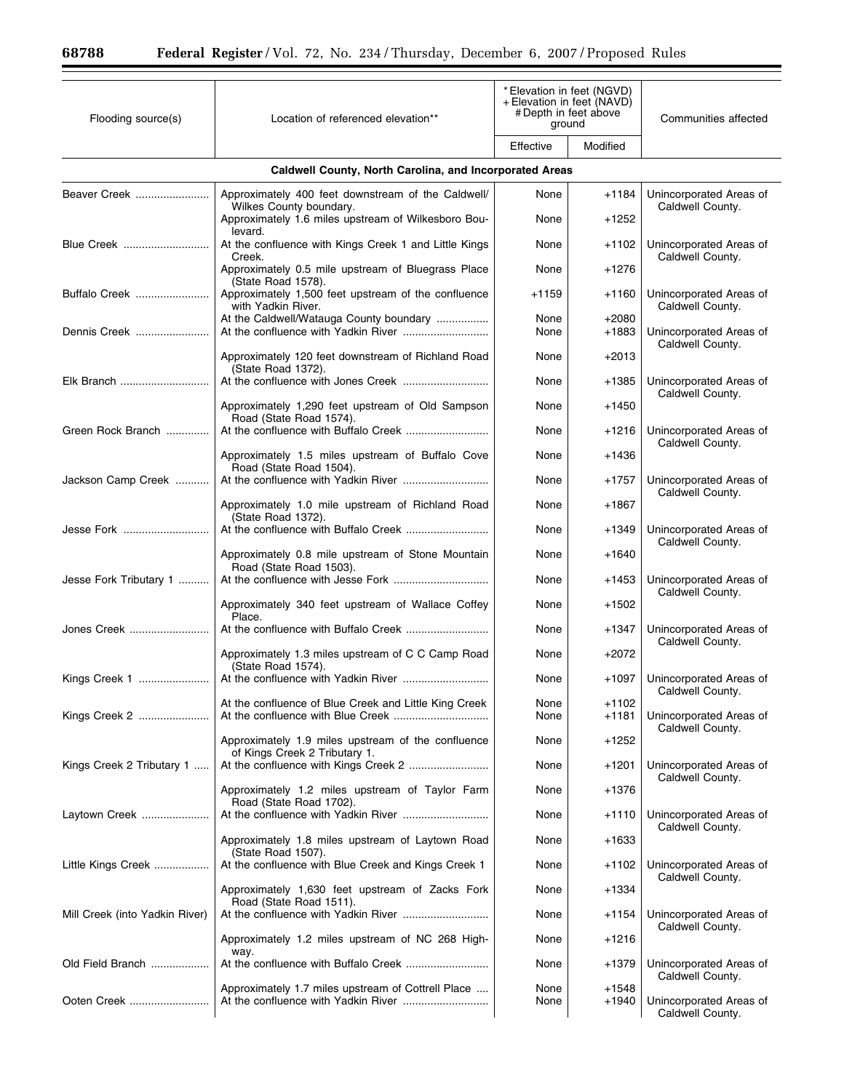$\equiv$ 

Ξ

| Flooding source(s)             | Location of referenced elevation**                                                  | * Elevation in feet (NGVD)<br>+ Elevation in feet (NAVD)<br># Depth in feet above<br>ground |                    | Communities affected                        |  |
|--------------------------------|-------------------------------------------------------------------------------------|---------------------------------------------------------------------------------------------|--------------------|---------------------------------------------|--|
|                                |                                                                                     | Effective                                                                                   | Modified           |                                             |  |
|                                | Caldwell County, North Carolina, and Incorporated Areas                             |                                                                                             |                    |                                             |  |
| Beaver Creek                   | Approximately 400 feet downstream of the Caldwell/                                  | None                                                                                        | $+1184$            | Unincorporated Areas of                     |  |
|                                | Wilkes County boundary.<br>Approximately 1.6 miles upstream of Wilkesboro Bou-      | None                                                                                        | $+1252$            | Caldwell County.                            |  |
| Blue Creek                     | levard.<br>At the confluence with Kings Creek 1 and Little Kings<br>Creek.          | None                                                                                        | +1102              | Unincorporated Areas of<br>Caldwell County. |  |
|                                | Approximately 0.5 mile upstream of Bluegrass Place<br>(State Road 1578).            | None                                                                                        | $+1276$            |                                             |  |
| Buffalo Creek                  | Approximately 1,500 feet upstream of the confluence<br>with Yadkin River.           | +1159                                                                                       | +1160              | Unincorporated Areas of<br>Caldwell County. |  |
| Dennis Creek                   | At the Caldwell/Watauga County boundary                                             | None<br>None                                                                                | $+2080$<br>$+1883$ | Unincorporated Areas of                     |  |
|                                | Approximately 120 feet downstream of Richland Road<br>(State Road 1372).            | None                                                                                        | $+2013$            | Caldwell County.                            |  |
| Elk Branch                     |                                                                                     | None                                                                                        | $+1385$            | Unincorporated Areas of<br>Caldwell County. |  |
|                                | Approximately 1,290 feet upstream of Old Sampson<br>Road (State Road 1574).         | None                                                                                        | $+1450$            |                                             |  |
| Green Rock Branch              |                                                                                     | None                                                                                        | $+1216$            | Unincorporated Areas of<br>Caldwell County. |  |
|                                | Approximately 1.5 miles upstream of Buffalo Cove<br>Road (State Road 1504).         | None                                                                                        | $+1436$            |                                             |  |
| Jackson Camp Creek             |                                                                                     | None                                                                                        | +1757              | Unincorporated Areas of<br>Caldwell County. |  |
|                                | Approximately 1.0 mile upstream of Richland Road<br>(State Road 1372).              | None                                                                                        | +1867              |                                             |  |
| Jesse Fork                     |                                                                                     | None                                                                                        | +1349              | Unincorporated Areas of<br>Caldwell County. |  |
|                                | Approximately 0.8 mile upstream of Stone Mountain<br>Road (State Road 1503).        | None                                                                                        | +1640              |                                             |  |
| Jesse Fork Tributary 1         |                                                                                     | None                                                                                        | +1453              | Unincorporated Areas of<br>Caldwell County. |  |
|                                | Approximately 340 feet upstream of Wallace Coffey<br>Place.                         | None                                                                                        | +1502              |                                             |  |
| Jones Creek                    |                                                                                     | None                                                                                        | +1347              | Unincorporated Areas of<br>Caldwell County. |  |
|                                | Approximately 1.3 miles upstream of C C Camp Road<br>(State Road 1574).             | None                                                                                        | $+2072$            |                                             |  |
| Kings Creek 1                  |                                                                                     | None                                                                                        | +1097              | Unincorporated Areas of<br>Caldwell County. |  |
| Kings Creek 2                  | At the confluence of Blue Creek and Little King Creek                               | None<br>None                                                                                | +1102<br>+1181     | Unincorporated Areas of<br>Caldwell County. |  |
|                                | Approximately 1.9 miles upstream of the confluence<br>of Kings Creek 2 Tributary 1. | None                                                                                        | +1252              |                                             |  |
| Kings Creek 2 Tributary 1      |                                                                                     | None                                                                                        | +1201              | Unincorporated Areas of<br>Caldwell County. |  |
|                                | Approximately 1.2 miles upstream of Taylor Farm<br>Road (State Road 1702).          | None                                                                                        | +1376              |                                             |  |
| Laytown Creek                  | At the confluence with Yadkin River                                                 | None                                                                                        | +1110              | Unincorporated Areas of<br>Caldwell County. |  |
|                                | Approximately 1.8 miles upstream of Laytown Road<br>(State Road 1507).              | None                                                                                        | +1633              |                                             |  |
| Little Kings Creek             | At the confluence with Blue Creek and Kings Creek 1                                 | None                                                                                        | +1102              | Unincorporated Areas of<br>Caldwell County. |  |
|                                | Approximately 1,630 feet upstream of Zacks Fork<br>Road (State Road 1511).          | None                                                                                        | +1334              |                                             |  |
| Mill Creek (into Yadkin River) | At the confluence with Yadkin River                                                 | None                                                                                        | +1154              | Unincorporated Areas of<br>Caldwell County. |  |
|                                | Approximately 1.2 miles upstream of NC 268 High-<br>way.                            | None                                                                                        | +1216              |                                             |  |
| Old Field Branch               |                                                                                     | None                                                                                        | +1379              | Unincorporated Areas of<br>Caldwell County. |  |
| Ooten Creek                    | Approximately 1.7 miles upstream of Cottrell Place                                  | None<br>None                                                                                | +1548<br>$+1940$   | Unincorporated Areas of<br>Caldwell County. |  |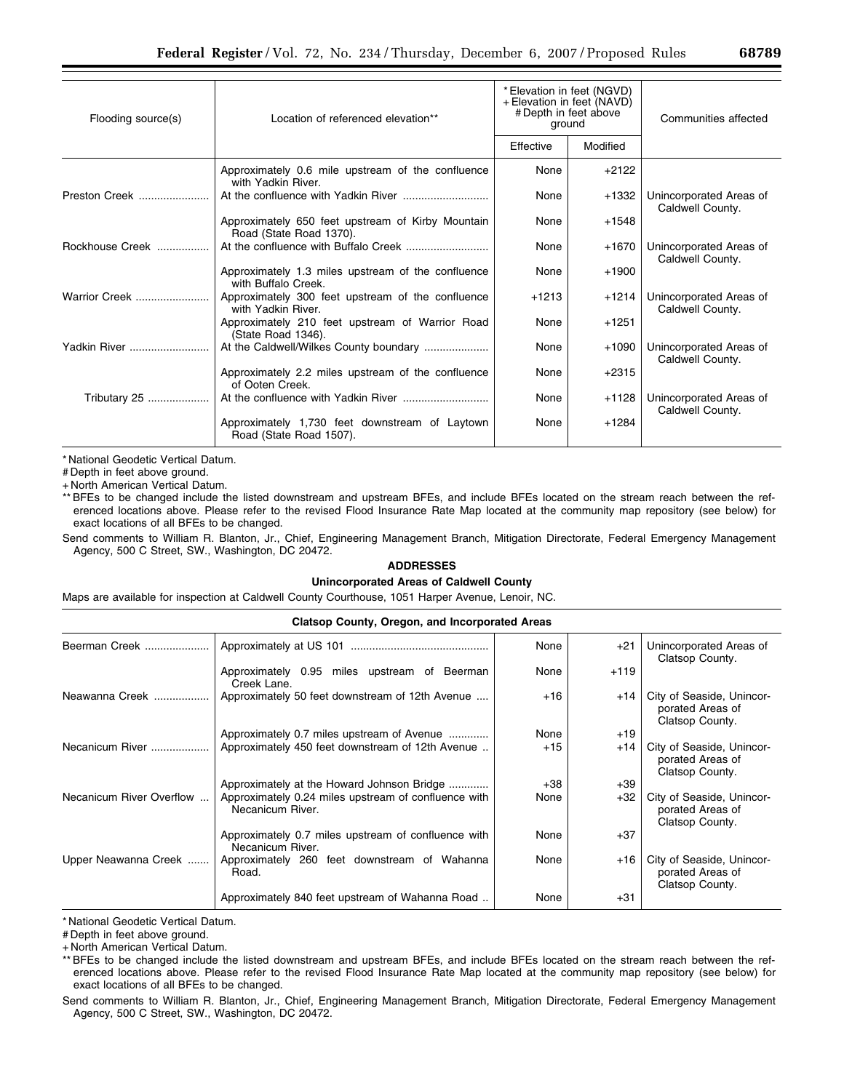| Flooding source(s) | Location of referenced elevation**                                           | * Elevation in feet (NGVD)<br>+ Elevation in feet (NAVD)<br># Depth in feet above<br>ground |          | Communities affected                        |
|--------------------|------------------------------------------------------------------------------|---------------------------------------------------------------------------------------------|----------|---------------------------------------------|
|                    |                                                                              | Effective                                                                                   | Modified |                                             |
|                    | Approximately 0.6 mile upstream of the confluence<br>with Yadkin River.      | None                                                                                        | $+2122$  |                                             |
| Preston Creek      |                                                                              | None                                                                                        | $+1332$  | Unincorporated Areas of<br>Caldwell County. |
|                    | Approximately 650 feet upstream of Kirby Mountain<br>Road (State Road 1370). | None                                                                                        | $+1548$  |                                             |
| Rockhouse Creek    |                                                                              | None                                                                                        | $+1670$  | Unincorporated Areas of<br>Caldwell County. |
|                    | Approximately 1.3 miles upstream of the confluence<br>with Buffalo Creek.    | None                                                                                        | $+1900$  |                                             |
| Warrior Creek      | Approximately 300 feet upstream of the confluence<br>with Yadkin River.      | $+1213$                                                                                     | $+1214$  | Unincorporated Areas of<br>Caldwell County. |
|                    | Approximately 210 feet upstream of Warrior Road<br>(State Road 1346).        | None                                                                                        | $+1251$  |                                             |
| Yadkin River       |                                                                              | None                                                                                        | $+1090$  | Unincorporated Areas of<br>Caldwell County. |
|                    | Approximately 2.2 miles upstream of the confluence<br>of Ooten Creek.        | None                                                                                        | $+2315$  |                                             |
| Tributary 25       |                                                                              | None                                                                                        | $+1128$  | Unincorporated Areas of<br>Caldwell County. |
|                    | Approximately 1,730 feet downstream of Laytown<br>Road (State Road 1507).    | None                                                                                        | $+1284$  |                                             |

# Depth in feet above ground.

+ North American Vertical Datum.

\*\* BFEs to be changed include the listed downstream and upstream BFEs, and include BFEs located on the stream reach between the referenced locations above. Please refer to the revised Flood Insurance Rate Map located at the community map repository (see below) for exact locations of all BFEs to be changed.

Send comments to William R. Blanton, Jr., Chief, Engineering Management Branch, Mitigation Directorate, Federal Emergency Management Agency, 500 C Street, SW., Washington, DC 20472.

### **ADDRESSES**

# **Unincorporated Areas of Caldwell County**

Maps are available for inspection at Caldwell County Courthouse, 1051 Harper Avenue, Lenoir, NC.

| <b>Clatsop County, Oregon, and Incorporated Areas</b> |                                                                          |       |        |                                                                  |
|-------------------------------------------------------|--------------------------------------------------------------------------|-------|--------|------------------------------------------------------------------|
| Beerman Creek                                         |                                                                          | None  | $+21$  | Unincorporated Areas of<br>Clatsop County.                       |
|                                                       | Approximately 0.95 miles upstream of Beerman<br>Creek Lane.              | None  | $+119$ |                                                                  |
| Neawanna Creek                                        | Approximately 50 feet downstream of 12th Avenue                          | $+16$ | $+14$  | City of Seaside, Unincor-<br>porated Areas of<br>Clatsop County. |
|                                                       | Approximately 0.7 miles upstream of Avenue                               | None  | $+19$  |                                                                  |
| Necanicum River                                       | Approximately 450 feet downstream of 12th Avenue                         | $+15$ | $+14$  | City of Seaside, Unincor-<br>porated Areas of<br>Clatsop County. |
|                                                       | Approximately at the Howard Johnson Bridge                               | $+38$ | $+39$  |                                                                  |
| Necanicum River Overflow                              | Approximately 0.24 miles upstream of confluence with<br>Necanicum River. | None  | +32    | City of Seaside, Unincor-<br>porated Areas of<br>Clatsop County. |
|                                                       | Approximately 0.7 miles upstream of confluence with<br>Necanicum River.  | None  | $+37$  |                                                                  |
| Upper Neawanna Creek                                  | Approximately 260 feet downstream of Wahanna<br>Road.                    | None  | +16    | City of Seaside, Unincor-<br>porated Areas of<br>Clatsop County. |
|                                                       | Approximately 840 feet upstream of Wahanna Road                          | None  | $+31$  |                                                                  |

\* National Geodetic Vertical Datum.

# Depth in feet above ground.

+ North American Vertical Datum.

\*\* BFEs to be changed include the listed downstream and upstream BFEs, and include BFEs located on the stream reach between the referenced locations above. Please refer to the revised Flood Insurance Rate Map located at the community map repository (see below) for exact locations of all BFEs to be changed.

Send comments to William R. Blanton, Jr., Chief, Engineering Management Branch, Mitigation Directorate, Federal Emergency Management Agency, 500 C Street, SW., Washington, DC 20472.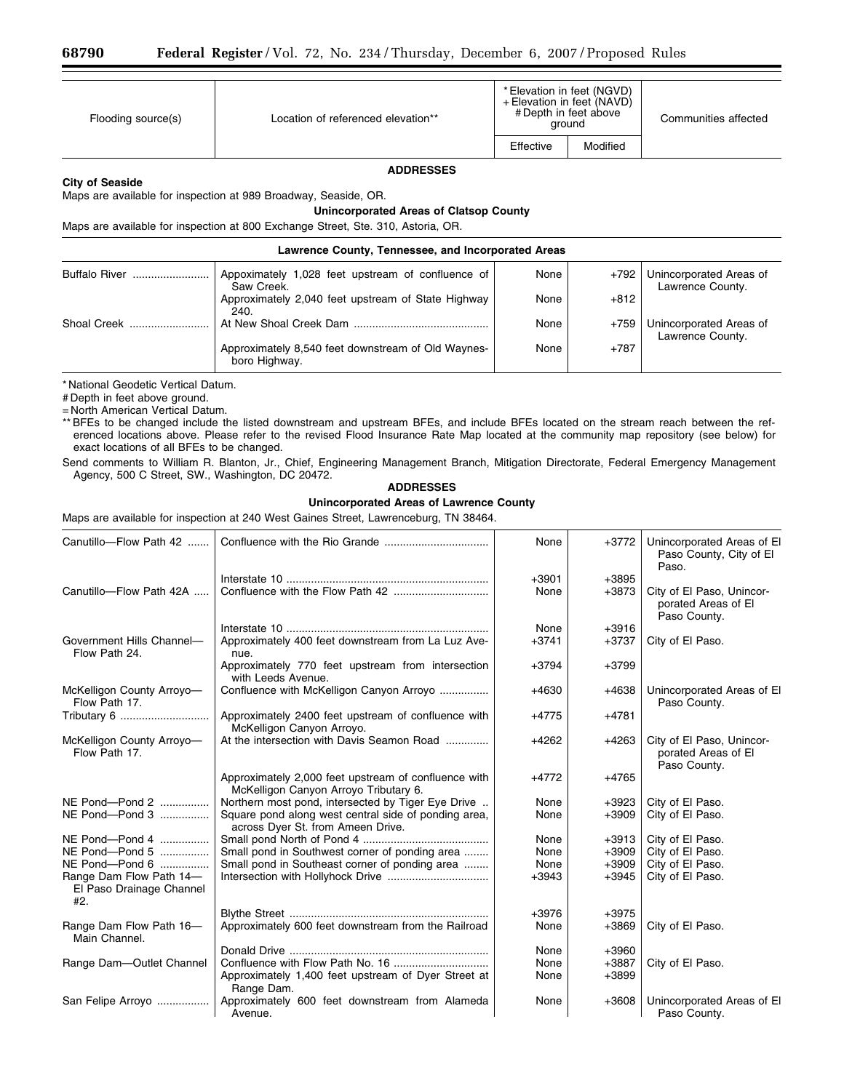| Flooding source(s) | Location of referenced elevation** | * Elevation in feet (NGVD)<br>+ Elevation in feet (NAVD)<br># Depth in feet above<br>ground |          | Communities affected |
|--------------------|------------------------------------|---------------------------------------------------------------------------------------------|----------|----------------------|
|                    |                                    | Effective                                                                                   | Modified |                      |
| <b>ADDRESSES</b>   |                                    |                                                                                             |          |                      |

# **City of Seaside**

Maps are available for inspection at 989 Broadway, Seaside, OR.

**Unincorporated Areas of Clatsop County** 

Maps are available for inspection at 800 Exchange Street, Ste. 310, Astoria, OR.

| Lawrence County, Tennessee, and Incorporated Areas |                                                                     |      |        |                                             |
|----------------------------------------------------|---------------------------------------------------------------------|------|--------|---------------------------------------------|
| Buffalo River                                      | Appoximately 1,028 feet upstream of confluence of<br>Saw Creek.     | None | $+792$ | Unincorporated Areas of<br>Lawrence County. |
|                                                    | Approximately 2,040 feet upstream of State Highway<br>240.          | None | $+812$ |                                             |
| Shoal Creek                                        | At New Shoal Creek Dam                                              | None | $+759$ | Unincorporated Areas of<br>Lawrence County. |
|                                                    | Approximately 8,540 feet downstream of Old Waynes-<br>boro Highway. | None | $+787$ |                                             |

\* National Geodetic Vertical Datum.

# Depth in feet above ground.

= North American Vertical Datum.

\*\* BFEs to be changed include the listed downstream and upstream BFEs, and include BFEs located on the stream reach between the referenced locations above. Please refer to the revised Flood Insurance Rate Map located at the community map repository (see below) for exact locations of all BFEs to be changed.

Send comments to William R. Blanton, Jr., Chief, Engineering Management Branch, Mitigation Directorate, Federal Emergency Management Agency, 500 C Street, SW., Washington, DC 20472.

# **ADDRESSES**

**Unincorporated Areas of Lawrence County** 

Maps are available for inspection at 240 West Gaines Street, Lawrenceburg, TN 38464.

| Canutillo-Flow Path 42                                     |                                                                                               | None    | $+3772$ | Unincorporated Areas of El<br>Paso County, City of El<br>Paso.   |
|------------------------------------------------------------|-----------------------------------------------------------------------------------------------|---------|---------|------------------------------------------------------------------|
|                                                            |                                                                                               | $+3901$ | $+3895$ |                                                                  |
| Canutillo-Flow Path 42A                                    |                                                                                               | None    | $+3873$ | City of El Paso, Unincor-<br>porated Areas of El<br>Paso County. |
|                                                            |                                                                                               | None    | $+3916$ |                                                                  |
| Government Hills Channel-<br>Flow Path 24.                 | Approximately 400 feet downstream from La Luz Ave-<br>nue.                                    | $+3741$ | $+3737$ | City of El Paso.                                                 |
|                                                            | Approximately 770 feet upstream from intersection<br>with Leeds Avenue.                       | $+3794$ | $+3799$ |                                                                  |
| McKelligon County Arroyo-<br>Flow Path 17.                 | Confluence with McKelligon Canyon Arroyo                                                      | $+4630$ | $+4638$ | Unincorporated Areas of El<br>Paso County.                       |
| Tributary 6                                                | Approximately 2400 feet upstream of confluence with<br>McKelligon Canyon Arroyo.              | $+4775$ | $+4781$ |                                                                  |
| McKelligon County Arroyo-<br>Flow Path 17.                 | At the intersection with Davis Seamon Road                                                    | $+4262$ | +4263   | City of El Paso, Unincor-<br>porated Areas of El<br>Paso County. |
|                                                            | Approximately 2,000 feet upstream of confluence with<br>McKelligon Canyon Arroyo Tributary 6. | $+4772$ | $+4765$ |                                                                  |
| NE Pond-Pond 2                                             | Northern most pond, intersected by Tiger Eye Drive                                            | None    | +3923   | City of El Paso.                                                 |
| NE Pond-Pond 3                                             | Square pond along west central side of ponding area,<br>across Dyer St. from Ameen Drive.     | None    | $+3909$ | City of El Paso.                                                 |
| NE Pond-Pond 4                                             |                                                                                               | None    | $+3913$ | City of El Paso.                                                 |
| NE Pond-Pond 5                                             | Small pond in Southwest corner of ponding area                                                | None    | $+3909$ | City of El Paso.                                                 |
| NE Pond-Pond 6                                             | Small pond in Southeast corner of ponding area                                                | None    | $+3909$ | City of El Paso.                                                 |
| Range Dam Flow Path 14-<br>El Paso Drainage Channel<br>#2. |                                                                                               | $+3943$ | $+3945$ | City of El Paso.                                                 |
|                                                            |                                                                                               | $+3976$ | $+3975$ |                                                                  |
| Range Dam Flow Path 16-<br>Main Channel.                   | Approximately 600 feet downstream from the Railroad                                           | None    | $+3869$ | City of El Paso.                                                 |
|                                                            |                                                                                               | None    | $+3960$ |                                                                  |
| Range Dam-Outlet Channel                                   |                                                                                               | None    | +3887   | City of El Paso.                                                 |
|                                                            | Approximately 1,400 feet upstream of Dyer Street at<br>Range Dam.                             | None    | $+3899$ |                                                                  |
| San Felipe Arroyo                                          | Approximately 600 feet downstream from Alameda<br>Avenue.                                     | None    | $+3608$ | Unincorporated Areas of El<br>Paso County.                       |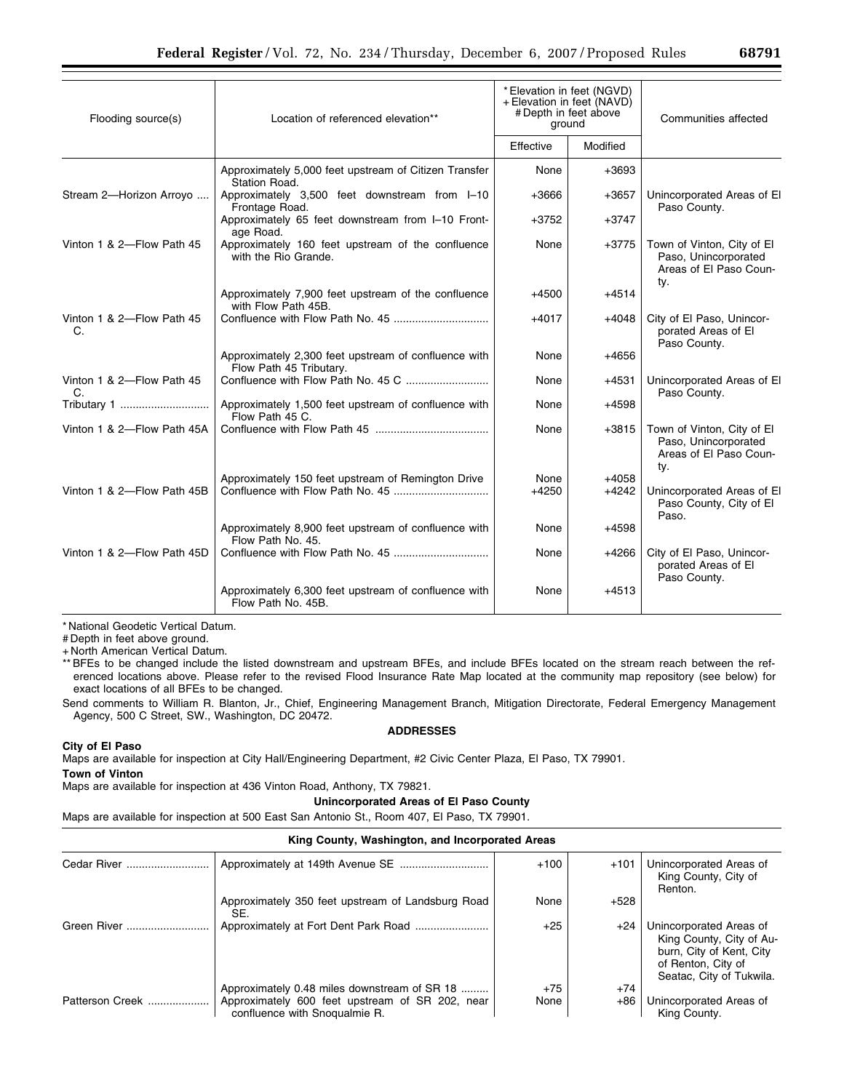| Flooding source(s)              | Location of referenced elevation**                                              | * Elevation in feet (NGVD)<br>+ Elevation in feet (NAVD)<br># Depth in feet above<br>ground |                  | Communities affected                                                                |  |
|---------------------------------|---------------------------------------------------------------------------------|---------------------------------------------------------------------------------------------|------------------|-------------------------------------------------------------------------------------|--|
|                                 |                                                                                 | Effective                                                                                   | Modified         |                                                                                     |  |
|                                 | Approximately 5,000 feet upstream of Citizen Transfer<br>Station Road.          | None                                                                                        | $+3693$          |                                                                                     |  |
| Stream 2-Horizon Arroyo         | Approximately 3,500 feet downstream from I-10<br>Frontage Road.                 | $+3666$                                                                                     | $+3657$          | Unincorporated Areas of El<br>Paso County.                                          |  |
|                                 | Approximately 65 feet downstream from I-10 Front-<br>age Road.                  | $+3752$                                                                                     | $+3747$          |                                                                                     |  |
| Vinton 1 & 2-Flow Path 45       | Approximately 160 feet upstream of the confluence<br>with the Rio Grande.       | None                                                                                        | $+3775$          | Town of Vinton, City of El<br>Paso, Unincorporated<br>Areas of El Paso Coun-<br>ty. |  |
|                                 | Approximately 7,900 feet upstream of the confluence<br>with Flow Path 45B.      | $+4500$                                                                                     | $+4514$          |                                                                                     |  |
| Vinton 1 & 2-Flow Path 45<br>C. |                                                                                 | $+4017$                                                                                     | $+4048$          | City of El Paso, Unincor-<br>porated Areas of El<br>Paso County.                    |  |
|                                 | Approximately 2,300 feet upstream of confluence with<br>Flow Path 45 Tributary. | None                                                                                        | $+4656$          |                                                                                     |  |
| Vinton 1 & 2-Flow Path 45<br>C. |                                                                                 | None                                                                                        | $+4531$          | Unincorporated Areas of El<br>Paso County.                                          |  |
| Tributary 1                     | Approximately 1,500 feet upstream of confluence with<br>Flow Path 45 C.         | None                                                                                        | $+4598$          |                                                                                     |  |
| Vinton 1 & 2-Flow Path 45A      |                                                                                 | None                                                                                        | $+3815$          | Town of Vinton, City of El<br>Paso, Unincorporated<br>Areas of El Paso Coun-<br>ty. |  |
| Vinton 1 & 2-Flow Path 45B      | Approximately 150 feet upstream of Remington Drive                              | None<br>$+4250$                                                                             | $+4058$<br>+4242 | Unincorporated Areas of El<br>Paso County, City of El<br>Paso.                      |  |
|                                 | Approximately 8,900 feet upstream of confluence with<br>Flow Path No. 45.       | None                                                                                        | $+4598$          |                                                                                     |  |
| Vinton 1 & 2-Flow Path 45D      |                                                                                 | None                                                                                        | +4266            | City of El Paso, Unincor-<br>porated Areas of El<br>Paso County.                    |  |
|                                 | Approximately 6,300 feet upstream of confluence with<br>Flow Path No. 45B.      | None                                                                                        | $+4513$          |                                                                                     |  |

# Depth in feet above ground.

+ North American Vertical Datum.

\*\* BFEs to be changed include the listed downstream and upstream BFEs, and include BFEs located on the stream reach between the referenced locations above. Please refer to the revised Flood Insurance Rate Map located at the community map repository (see below) for exact locations of all BFEs to be changed.

Send comments to William R. Blanton, Jr., Chief, Engineering Management Branch, Mitigation Directorate, Federal Emergency Management Agency, 500 C Street, SW., Washington, DC 20472.

## **City of El Paso**

Maps are available for inspection at City Hall/Engineering Department, #2 Civic Center Plaza, El Paso, TX 79901. **Town of Vinton** 

Maps are available for inspection at 436 Vinton Road, Anthony, TX 79821.

# **Unincorporated Areas of El Paso County**

Maps are available for inspection at 500 East San Antonio St., Room 407, El Paso, TX 79901.

## **King County, Washington, and Incorporated Areas**

| Cedar River            |                                                                                  | $+100$ | $+101$ | Unincorporated Areas of<br>King County, City of<br>Renton.                                                                        |
|------------------------|----------------------------------------------------------------------------------|--------|--------|-----------------------------------------------------------------------------------------------------------------------------------|
|                        | Approximately 350 feet upstream of Landsburg Road<br>SE.                         | None   | $+528$ |                                                                                                                                   |
| Green River            |                                                                                  | $+25$  | +24    | Unincorporated Areas of<br>King County, City of Au-<br>burn, City of Kent, City<br>of Renton, City of<br>Seatac, City of Tukwila. |
|                        | Approximately 0.48 miles downstream of SR 18                                     | $+75$  | $+74$  |                                                                                                                                   |
| <b>Patterson Creek</b> | Approximately 600 feet upstream of SR 202, near<br>confluence with Snoqualmie R. | None   | +86    | Unincorporated Areas of<br>King County.                                                                                           |

#### **ADDRESSES**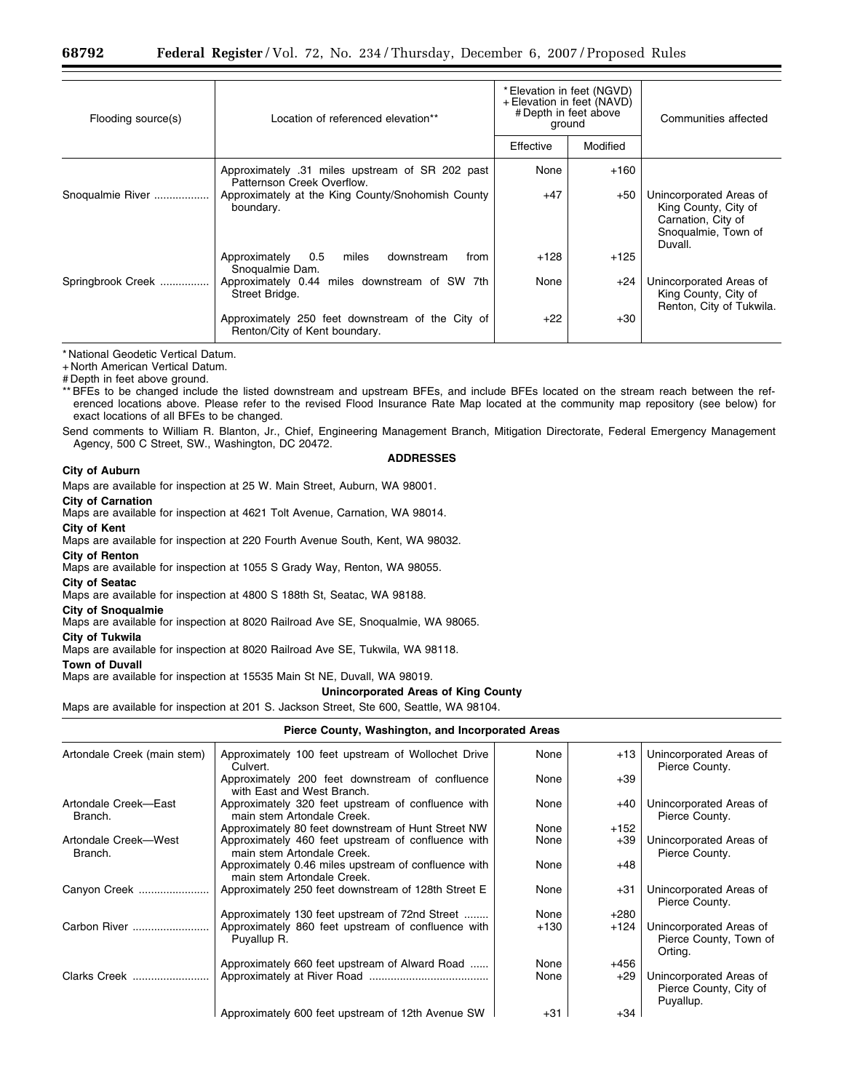| Flooding source(s) | Location of referenced elevation**                                                | * Elevation in feet (NGVD)<br>+ Elevation in feet (NAVD)<br># Depth in feet above<br>ground |          | Communities affected                                                                                    |
|--------------------|-----------------------------------------------------------------------------------|---------------------------------------------------------------------------------------------|----------|---------------------------------------------------------------------------------------------------------|
|                    |                                                                                   | Effective                                                                                   | Modified |                                                                                                         |
|                    | Approximately .31 miles upstream of SR 202 past<br>Patternson Creek Overflow.     | None                                                                                        | $+160$   |                                                                                                         |
| Snoqualmie River   | Approximately at the King County/Snohomish County<br>boundary.                    | $+47$                                                                                       | +50      | Unincorporated Areas of<br>King County, City of<br>Carnation, City of<br>Snoqualmie, Town of<br>Duvall. |
|                    | Approximately<br>0.5<br>downstream<br>miles<br>from<br>Snoqualmie Dam.            | $+128$                                                                                      | $+125$   |                                                                                                         |
| Springbrook Creek  | Approximately 0.44 miles downstream of SW 7th<br>Street Bridge.                   | None                                                                                        | $+24$    | Unincorporated Areas of<br>King County, City of<br>Renton, City of Tukwila.                             |
|                    | Approximately 250 feet downstream of the City of<br>Renton/City of Kent boundary. | $+22$                                                                                       | $+30$    |                                                                                                         |

+ North American Vertical Datum.

# Depth in feet above ground.

\*\* BFEs to be changed include the listed downstream and upstream BFEs, and include BFEs located on the stream reach between the referenced locations above. Please refer to the revised Flood Insurance Rate Map located at the community map repository (see below) for exact locations of all BFEs to be changed.

Send comments to William R. Blanton, Jr., Chief, Engineering Management Branch, Mitigation Directorate, Federal Emergency Management Agency, 500 C Street, SW., Washington, DC 20472.

#### **ADDRESSES**

#### **City of Auburn**

Maps are available for inspection at 25 W. Main Street, Auburn, WA 98001.

**City of Carnation** 

Maps are available for inspection at 4621 Tolt Avenue, Carnation, WA 98014.

**City of Kent** 

Maps are available for inspection at 220 Fourth Avenue South, Kent, WA 98032.

**City of Renton** 

Maps are available for inspection at 1055 S Grady Way, Renton, WA 98055.

# **City of Seatac**

Maps are available for inspection at 4800 S 188th St, Seatac, WA 98188.

**City of Snoqualmie** 

Maps are available for inspection at 8020 Railroad Ave SE, Snoqualmie, WA 98065.

#### **City of Tukwila**

Maps are available for inspection at 8020 Railroad Ave SE, Tukwila, WA 98118.

**Town of Duvall** 

Maps are available for inspection at 15535 Main St NE, Duvall, WA 98019.

#### **Unincorporated Areas of King County**

Maps are available for inspection at 201 S. Jackson Street, Ste 600, Seattle, WA 98104.

#### **Pierce County, Washington, and Incorporated Areas**

| Artondale Creek (main stem)     | Approximately 100 feet upstream of Wollochet Drive<br>Culvert.                     | None   | $+13$  | Unincorporated Areas of<br>Pierce County.                      |
|---------------------------------|------------------------------------------------------------------------------------|--------|--------|----------------------------------------------------------------|
|                                 | Approximately 200 feet downstream of confluence<br>with East and West Branch.      | None   | $+39$  |                                                                |
| Artondale Creek-East<br>Branch. | Approximately 320 feet upstream of confluence with<br>main stem Artondale Creek.   | None   | +40    | Unincorporated Areas of<br>Pierce County.                      |
|                                 | Approximately 80 feet downstream of Hunt Street NW                                 | None   | $+152$ |                                                                |
| Artondale Creek-West<br>Branch. | Approximately 460 feet upstream of confluence with<br>main stem Artondale Creek.   | None   | $+39$  | Unincorporated Areas of<br>Pierce County.                      |
|                                 | Approximately 0.46 miles upstream of confluence with<br>main stem Artondale Creek. | None   | $+48$  |                                                                |
| Canyon Creek                    | Approximately 250 feet downstream of 128th Street E                                | None   | +31    | Unincorporated Areas of<br>Pierce County.                      |
|                                 | Approximately 130 feet upstream of 72nd Street                                     | None   | $+280$ |                                                                |
| Carbon River                    | Approximately 860 feet upstream of confluence with<br>Puyallup R.                  | $+130$ | +124   | Unincorporated Areas of<br>Pierce County, Town of<br>Orting.   |
|                                 | Approximately 660 feet upstream of Alward Road                                     | None   | $+456$ |                                                                |
| Clarks Creek                    |                                                                                    | None   | $+29$  | Unincorporated Areas of<br>Pierce County, City of<br>Puyallup. |
|                                 | Approximately 600 feet upstream of 12th Avenue SW                                  | $+31$  | +34    |                                                                |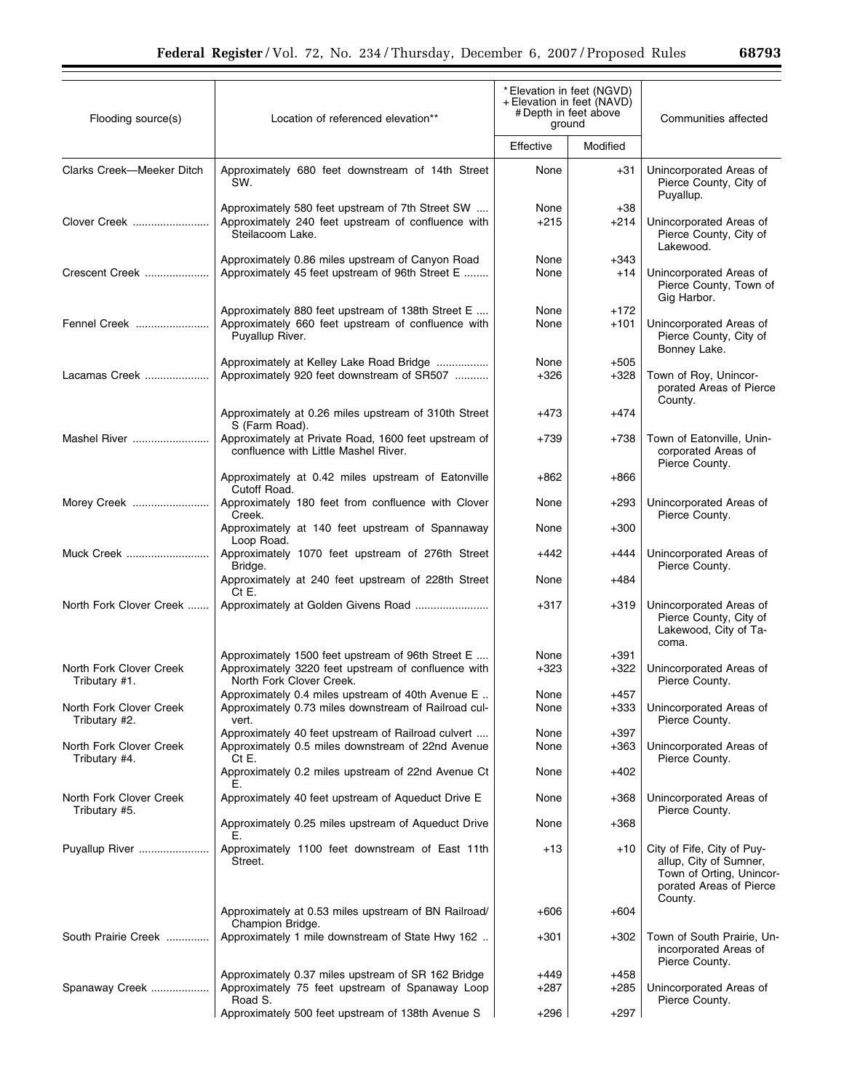| Flooding source(s)                       | Location of referenced elevation**                                                                                                   | * Elevation in feet (NGVD)<br>+ Elevation in feet (NAVD)<br># Depth in feet above<br>ground |                  | Communities affected                                                                                                   |
|------------------------------------------|--------------------------------------------------------------------------------------------------------------------------------------|---------------------------------------------------------------------------------------------|------------------|------------------------------------------------------------------------------------------------------------------------|
|                                          |                                                                                                                                      | Effective                                                                                   | Modified         |                                                                                                                        |
| Clarks Creek-Meeker Ditch                | Approximately 680 feet downstream of 14th Street<br>SW.                                                                              | None                                                                                        | $+31$            | Unincorporated Areas of<br>Pierce County, City of<br>Puyallup.                                                         |
| Clover Creek                             | Approximately 580 feet upstream of 7th Street SW<br>Approximately 240 feet upstream of confluence with<br>Steilacoom Lake.           | None<br>$+215$                                                                              | $+38$<br>+214    | Unincorporated Areas of<br>Pierce County, City of<br>Lakewood.                                                         |
| Crescent Creek                           | Approximately 0.86 miles upstream of Canyon Road<br>Approximately 45 feet upstream of 96th Street E                                  | None<br>None                                                                                | +343<br>$+14$    | Unincorporated Areas of<br>Pierce County, Town of<br>Gig Harbor.                                                       |
| Fennel Creek                             | Approximately 880 feet upstream of 138th Street E<br>Approximately 660 feet upstream of confluence with<br>Puyallup River.           | None<br>None                                                                                | $+172$<br>$+101$ | Unincorporated Areas of<br>Pierce County, City of<br>Bonney Lake.                                                      |
| Lacamas Creek                            | Approximately at Kelley Lake Road Bridge<br>Approximately 920 feet downstream of SR507                                               | None<br>$+326$                                                                              | $+505$<br>+328   | Town of Roy, Unincor-<br>porated Areas of Pierce<br>County.                                                            |
|                                          | Approximately at 0.26 miles upstream of 310th Street<br>S (Farm Road).                                                               | +473                                                                                        | +474             |                                                                                                                        |
| Mashel River                             | Approximately at Private Road, 1600 feet upstream of<br>confluence with Little Mashel River.                                         | +739                                                                                        | +738             | Town of Eatonville, Unin-<br>corporated Areas of<br>Pierce County.                                                     |
|                                          | Approximately at 0.42 miles upstream of Eatonville<br>Cutoff Road.                                                                   | $+862$                                                                                      | +866             |                                                                                                                        |
| Morey Creek                              | Approximately 180 feet from confluence with Clover<br>Creek.                                                                         | None                                                                                        | +293             | Unincorporated Areas of<br>Pierce County.                                                                              |
|                                          | Approximately at 140 feet upstream of Spannaway<br>Loop Road.                                                                        | None                                                                                        | $+300$           |                                                                                                                        |
| Muck Creek                               | Approximately 1070 feet upstream of 276th Street<br>Bridge.                                                                          | +442                                                                                        | +444             | Unincorporated Areas of<br>Pierce County.                                                                              |
|                                          | Approximately at 240 feet upstream of 228th Street<br>Ct E.                                                                          | None                                                                                        | $+484$           |                                                                                                                        |
| North Fork Clover Creek                  |                                                                                                                                      | $+317$                                                                                      | +319             | Unincorporated Areas of<br>Pierce County, City of<br>Lakewood, City of Ta-<br>coma.                                    |
| North Fork Clover Creek<br>Tributary #1. | Approximately 1500 feet upstream of 96th Street E<br>Approximately 3220 feet upstream of confluence with<br>North Fork Clover Creek. | None<br>$+323$                                                                              | $+391$<br>+322   | Unincorporated Areas of<br>Pierce County.                                                                              |
| North Fork Clover Creek<br>Tributary #2. | Approximately 0.4 miles upstream of 40th Avenue E<br>Approximately 0.73 miles downstream of Railroad cul-<br>vert.                   | None<br>None                                                                                | $+457$<br>$+333$ | Unincorporated Areas of<br>Pierce County.                                                                              |
| North Fork Clover Creek<br>Tributary #4. | Approximately 40 feet upstream of Railroad culvert<br>Approximately 0.5 miles downstream of 22nd Avenue<br>Ct E.                     | None<br>None                                                                                | $+397$<br>+363   | Unincorporated Areas of<br>Pierce County.                                                                              |
|                                          | Approximately 0.2 miles upstream of 22nd Avenue Ct<br>Е.                                                                             | None                                                                                        | +402             |                                                                                                                        |
| North Fork Clover Creek<br>Tributary #5. | Approximately 40 feet upstream of Aqueduct Drive E                                                                                   | None                                                                                        | +368             | Unincorporated Areas of<br>Pierce County.                                                                              |
|                                          | Approximately 0.25 miles upstream of Aqueduct Drive<br>Е.                                                                            | None                                                                                        | $+368$           |                                                                                                                        |
| Puyallup River                           | Approximately 1100 feet downstream of East 11th<br>Street.                                                                           | +13                                                                                         | $+10$            | City of Fife, City of Puy-<br>allup, City of Sumner,<br>Town of Orting, Unincor-<br>porated Areas of Pierce<br>County. |
|                                          | Approximately at 0.53 miles upstream of BN Railroad/<br>Champion Bridge.                                                             | $+606$                                                                                      | $+604$           |                                                                                                                        |
| South Prairie Creek                      | Approximately 1 mile downstream of State Hwy 162                                                                                     | $+301$                                                                                      | +302             | Town of South Prairie, Un-<br>incorporated Areas of<br>Pierce County.                                                  |
| Spanaway Creek                           | Approximately 0.37 miles upstream of SR 162 Bridge<br>Approximately 75 feet upstream of Spanaway Loop<br>Road S.                     | +449<br>+287                                                                                | +458<br>+285     | Unincorporated Areas of<br>Pierce County.                                                                              |
|                                          | Approximately 500 feet upstream of 138th Avenue S                                                                                    | +296                                                                                        | $+297$           |                                                                                                                        |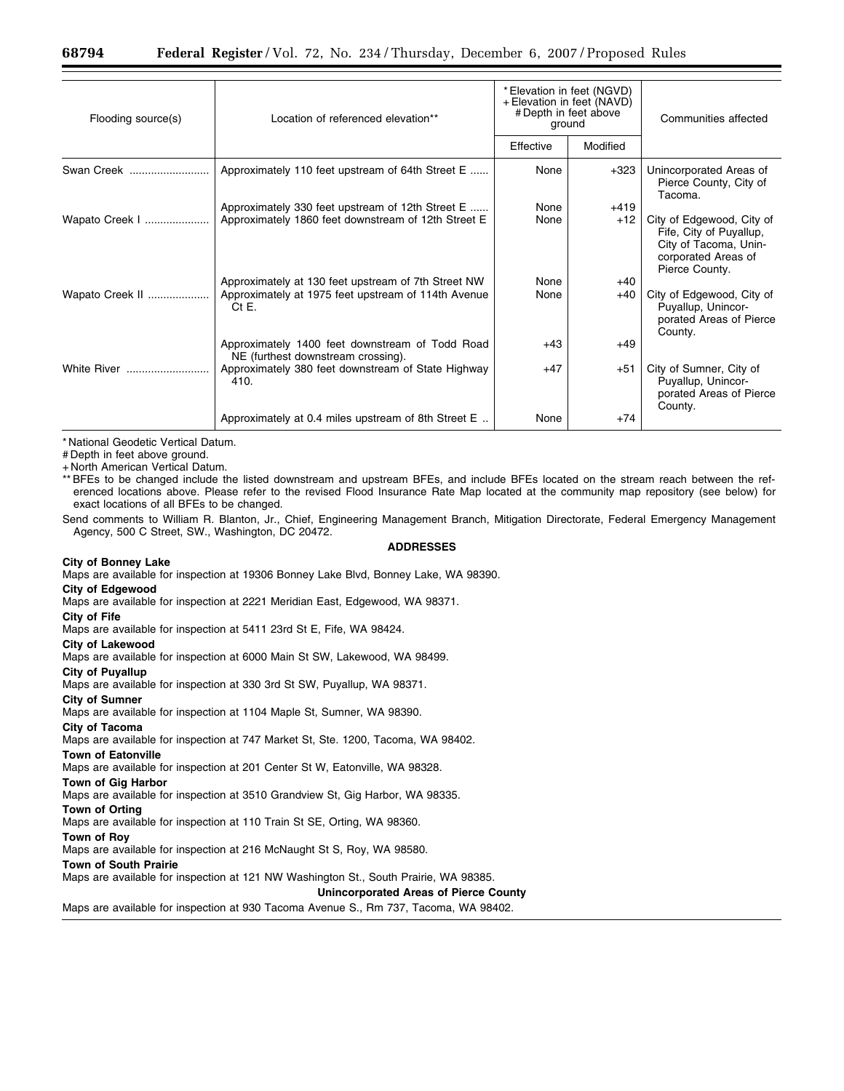| Flooding source(s) | Location of referenced elevation**                                                                                     | * Elevation in feet (NGVD)<br>+ Elevation in feet (NAVD)<br># Depth in feet above<br>ground |                 | Communities affected                                                                                                   |
|--------------------|------------------------------------------------------------------------------------------------------------------------|---------------------------------------------------------------------------------------------|-----------------|------------------------------------------------------------------------------------------------------------------------|
|                    |                                                                                                                        | Effective                                                                                   | Modified        |                                                                                                                        |
| Swan Creek         | Approximately 110 feet upstream of 64th Street E                                                                       | None                                                                                        | $+323$          | Unincorporated Areas of<br>Pierce County, City of<br>Tacoma.                                                           |
| Wapato Creek I     | Approximately 330 feet upstream of 12th Street E<br>Approximately 1860 feet downstream of 12th Street E                | None<br>None                                                                                | $+419$<br>$+12$ | City of Edgewood, City of<br>Fife, City of Puyallup,<br>City of Tacoma, Unin-<br>corporated Areas of<br>Pierce County. |
| Wapato Creek II    | Approximately at 130 feet upstream of 7th Street NW<br>Approximately at 1975 feet upstream of 114th Avenue<br>$Ct E$ . | None<br>None                                                                                | $+40$<br>$+40$  | City of Edgewood, City of<br>Puyallup, Unincor-<br>porated Areas of Pierce<br>County.                                  |
|                    | Approximately 1400 feet downstream of Todd Road<br>NE (furthest downstream crossing).                                  | $+43$                                                                                       | $+49$           |                                                                                                                        |
| White River        | Approximately 380 feet downstream of State Highway<br>410.                                                             | $+47$                                                                                       | $+51$           | City of Sumner, City of<br>Puyallup, Unincor-<br>porated Areas of Pierce<br>County.                                    |
|                    | Approximately at 0.4 miles upstream of 8th Street E                                                                    | None                                                                                        | $+74$           |                                                                                                                        |

# Depth in feet above ground.

+ North American Vertical Datum.

\*\* BFEs to be changed include the listed downstream and upstream BFEs, and include BFEs located on the stream reach between the referenced locations above. Please refer to the revised Flood Insurance Rate Map located at the community map repository (see below) for exact locations of all BFEs to be changed.

Send comments to William R. Blanton, Jr., Chief, Engineering Management Branch, Mitigation Directorate, Federal Emergency Management Agency, 500 C Street, SW., Washington, DC 20472.

## **ADDRESSES**

#### **City of Bonney Lake**

Maps are available for inspection at 19306 Bonney Lake Blvd, Bonney Lake, WA 98390.

**City of Edgewood** 

Maps are available for inspection at 2221 Meridian East, Edgewood, WA 98371.

**City of Fife** 

Maps are available for inspection at 5411 23rd St E, Fife, WA 98424.

#### **City of Lakewood**

Maps are available for inspection at 6000 Main St SW, Lakewood, WA 98499.

**City of Puyallup** 

Maps are available for inspection at 330 3rd St SW, Puyallup, WA 98371.

**City of Sumner** 

Maps are available for inspection at 1104 Maple St, Sumner, WA 98390.

## **City of Tacoma**

Maps are available for inspection at 747 Market St, Ste. 1200, Tacoma, WA 98402.

#### **Town of Eatonville**

Maps are available for inspection at 201 Center St W, Eatonville, WA 98328.

#### **Town of Gig Harbor**

Maps are available for inspection at 3510 Grandview St, Gig Harbor, WA 98335.

## **Town of Orting**

Maps are available for inspection at 110 Train St SE, Orting, WA 98360.

## **Town of Roy**

Maps are available for inspection at 216 McNaught St S, Roy, WA 98580.

#### **Town of South Prairie**

Maps are available for inspection at 121 NW Washington St., South Prairie, WA 98385.

# **Unincorporated Areas of Pierce County**

Maps are available for inspection at 930 Tacoma Avenue S., Rm 737, Tacoma, WA 98402.